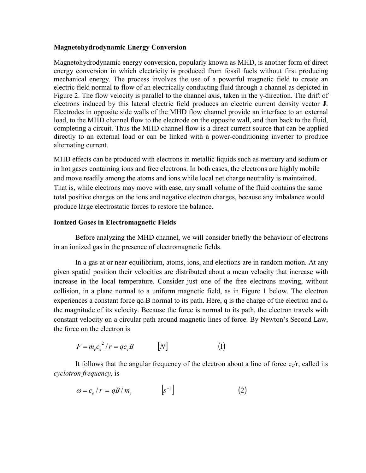## **Magnetohydrodynamic Energy Conversion**

Magnetohydrodynamic energy conversion, popularly known as MHD, is another form of direct energy conversion in which electricity is produced from fossil fuels without first producing mechanical energy. The process involves the use of a powerful magnetic field to create an electric field normal to flow of an electrically conducting fluid through a channel as depicted in Figure 2. The flow velocity is parallel to the channel axis, taken in the y-direction. The drift of electrons induced by this lateral electric field produces an electric current density vector **J**. Electrodes in opposite side walls of the MHD flow channel provide an interface to an external load, to the MHD channel flow to the electrode on the opposite wall, and then back to the fluid, completing a circuit. Thus the MHD channel flow is a direct current source that can be applied directly to an external load or can be linked with a power-conditioning inverter to produce alternating current.

MHD effects can be produced with electrons in metallic liquids such as mercury and sodium or in hot gases containing ions and free electrons. In both cases, the electrons are highly mobile and move readily among the atoms and ions while local net charge neutrality is maintained. That is, while electrons may move with ease, any small volume of the fluid contains the same total positive charges on the ions and negative electron charges, because any imbalance would produce large electrostatic forces to restore the balance.

## **Ionized Gases in Electromagnetic Fields**

Before analyzing the MHD channel, we will consider briefly the behaviour of electrons in an ionized gas in the presence of electromagnetic fields.

In a gas at or near equilibrium, atoms, ions, and elections are in random motion. At any given spatial position their velocities are distributed about a mean velocity that increase with increase in the local temperature. Consider just one of the free electrons moving, without collision, in a plane normal to a uniform magnetic field, as in Figure 1 below. The electron experiences a constant force  $qc<sub>c</sub>B$  normal to its path. Here, q is the charge of the electron and  $c_c$ the magnitude of its velocity. Because the force is normal to its path, the electron travels with constant velocity on a circular path around magnetic lines of force. By Newton's Second Law, the force on the electron is

$$
F = m_e c_e^2 / r = q c_e B \qquad [N] \qquad (1)
$$

It follows that the angular frequency of the electron about a line of force  $c_c/r$ , called its *cyclotron frequency,* is

$$
\omega = c_e / r = qB / m_e \qquad \qquad [s^{-1}] \tag{2}
$$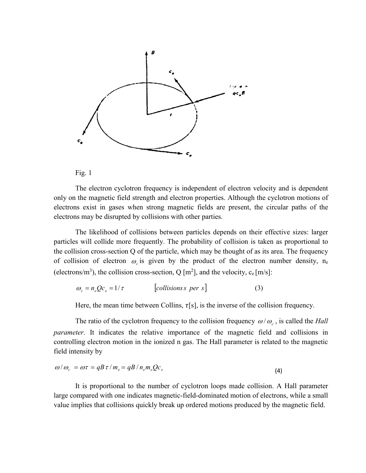



The electron cyclotron frequency is independent of electron velocity and is dependent only on the magnetic field strength and electron properties. Although the cyclotron motions of electrons exist in gases when strong magnetic fields are present, the circular paths of the electrons may be disrupted by collisions with other parties.

The likelihood of collisions between particles depends on their effective sizes: larger particles will collide more frequently. The probability of collision is taken as proportional to the collision cross-section Q of the particle, which may be thought of as its area. The frequency of collision of electron  $\omega_c$  is given by the product of the electron number density, n<sub>e</sub> (electrons/m<sup>3</sup>), the collision cross-section, Q [m<sup>2</sup>], and the velocity, c<sub>e</sub> [m/s]:

$$
\omega_c = n_e Q c_e = 1/\tau \qquad \qquad [collisions \text{ } per \text{ } s \text{]}
$$
 (3)

Here, the mean time between Collins,  $\tau[s]$ , is the inverse of the collision frequency.

The ratio of the cyclotron frequency to the collision frequency  $\omega/\omega_c$ , is called the *Hall parameter*. It indicates the relative importance of the magnetic field and collisions in controlling electron motion in the ionized n gas. The Hall parameter is related to the magnetic field intensity by

$$
\omega/\omega_c = \omega \tau = qB \tau / m_e = qB / n_e m_e Q c_e
$$
\n(4)

It is proportional to the number of cyclotron loops made collision. A Hall parameter large compared with one indicates magnetic-field-dominated motion of electrons, while a small value implies that collisions quickly break up ordered motions produced by the magnetic field.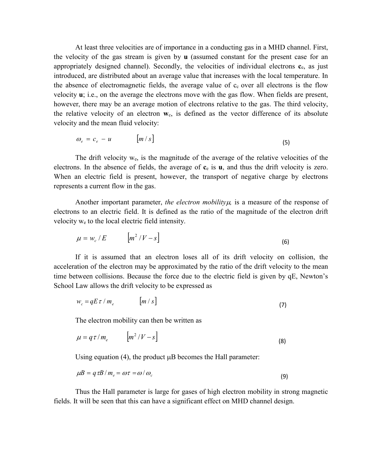At least three velocities are of importance in a conducting gas in a MHD channel. First, the velocity of the gas stream is given by **u** (assumed constant for the present case for an appropriately designed channel). Secondly, the velocities of individual electrons **c**e, as just introduced, are distributed about an average value that increases with the local temperature. In the absence of electromagnetic fields, the average value of  $c<sub>c</sub>$  over all electrons is the flow velocity **u**; i.e., on the average the electrons move with the gas flow. When fields are present, however, there may be an average motion of electrons relative to the gas. The third velocity, the relative velocity of an electron **w**c, is defined as the vector difference of its absolute velocity and the mean fluid velocity:

$$
\omega_e = c_e - u \qquad [m/s]
$$
 (5)

The drift velocity we, is the magnitude of the average of the relative velocities of the electrons. In the absence of fields, the average of **c**<sup>e</sup> is **u**, and thus the drift velocity is zero. When an electric field is present, however, the transport of negative charge by electrons represents a current flow in the gas.

Another important parameter, *the electron mobility* $\mu$ , is a measure of the response of electrons to an electric field. It is defined as the ratio of the magnitude of the electron drift velocity we to the local electric field intensity.

$$
\mu = w_c / E \qquad [m^2 / V - s] \tag{6}
$$

If it is assumed that an electron loses all of its drift velocity on collision, the acceleration of the electron may be approximated by the ratio of the drift velocity to the mean time between collisions. Because the force due to the electric field is given by qE, Newton's School Law allows the drift velocity to be expressed as

$$
w_c = qE\,\tau \mid m_e \qquad [m/s]
$$
 (7)

The electron mobility can then be written as

$$
\mu = q \tau / m_e \qquad [m^2 / V - s] \tag{8}
$$

Using equation  $(4)$ , the product  $\mu$ B becomes the Hall parameter:

$$
\mu B = q \tau B / m_e = \omega \tau = \omega / \omega_c \tag{9}
$$

Thus the Hall parameter is large for gases of high electron mobility in strong magnetic fields. It will be seen that this can have a significant effect on MHD channel design.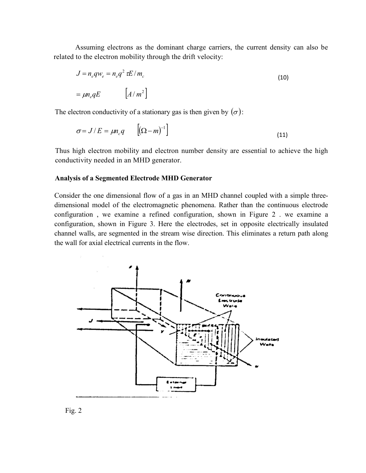Assuming electrons as the dominant charge carriers, the current density can also be related to the electron mobility through the drift velocity:

$$
J = n_e q w_e = n_e q^2 \tau E / m_c
$$
  
=  $\mu n_e q E$  
$$
[A / m^2]
$$
 (10)

The electron conductivity of a stationary gas is then given by  $(\sigma)$ :

$$
\sigma = J/E = \mu n_c q \qquad \left[ (\Omega - m)^{-1} \right] \tag{11}
$$

Thus high electron mobility and electron number density are essential to achieve the high conductivity needed in an MHD generator.

## **Analysis of a Segmented Electrode MHD Generator**

Consider the one dimensional flow of a gas in an MHD channel coupled with a simple threedimensional model of the electromagnetic phenomena. Rather than the continuous electrode configuration , we examine a refined configuration, shown in Figure 2 . we examine a configuration, shown in Figure 3. Here the electrodes, set in opposite electrically insulated channel walls, are segmented in the stream wise direction. This eliminates a return path along the wall for axial electrical currents in the flow.



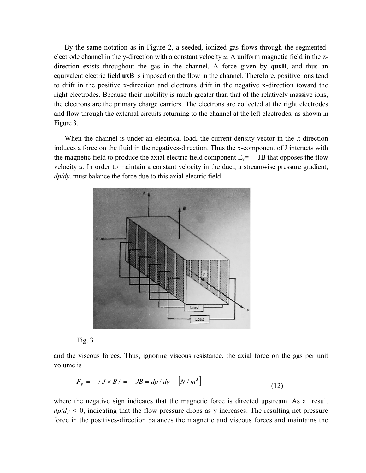By the same notation as in Figure 2, a seeded, ionized gas flows through the segmentedelectrode channel in the y-direction with a constant velocity *u.* A uniform magnetic field in the zdirection exists throughout the gas in the channel. A force given by q**uxB**, and thus an equivalent electric field **uxB** is imposed on the flow in the channel. Therefore, positive ions tend to drift in the positive x-direction and electrons drift in the negative x-direction toward the right electrodes. Because their mobility is much greater than that of the relatively massive ions, the electrons are the primary charge carriers. The electrons are collected at the right electrodes and flow through the external circuits returning to the channel at the left electrodes, as shown in Figure 3.

When the channel is under an electrical load, the current density vector in the t-direction induces a force on the fluid in the negatives-direction. Thus the x-component of J interacts with the magnetic field to produce the axial electric field component  $E_y = -JB$  that opposes the flow velocity *u.* In order to maintain a constant velocity in the duct, a streamwise pressure gradient, *dp/dy,* must balance the force due to this axial electric field





and the viscous forces. Thus, ignoring viscous resistance, the axial force on the gas per unit volume is

$$
F_y = -\beta J \times B / = -JB = dp / dy \quad \left[ N / m^3 \right] \tag{12}
$$

where the negative sign indicates that the magnetic force is directed upstream. As a result  $dp/dy < 0$ , indicating that the flow pressure drops as y increases. The resulting net pressure force in the positives-direction balances the magnetic and viscous forces and maintains the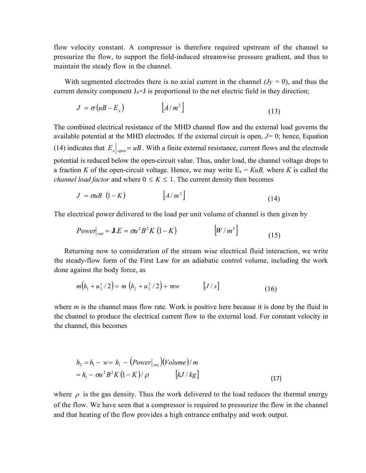flow velocity constant. A compressor is therefore required upstream of the channel to pressurize the flow, to support the field-induced streamwise pressure gradient, and thus to maintain the steady flow in the channel.

With segmented electrodes there is no axial current in the channel  $(y = 0)$ , and thus the current density component  $J_x=J$  is proportional to the net electric field in they direction;

$$
J = \sigma (uB - E_x) \qquad [A/m^2]
$$
 (13)

The combined electrical resistance of the MHD channel flow and the external load governs the available potential at the MHD electrodes. If the external circuit is open, *J=* 0; hence, Equation (14) indicates that  $E_x|_{open} = uB$ . With a finite external resistance, current flows and the electrode potential is reduced below the open-circuit value. Thus, under load, the channel voltage drops to a fraction *K* of the open-circuit voltage. Hence, we may write  $E_x = KuB$ , where *K* is called the *channel load factor* and where  $0 \le K \le 1$ . The current density then becomes

$$
J = \sigma u B \left( 1 - K \right) \qquad \qquad \left[ A / m^2 \right] \tag{14}
$$

The electrical power delivered to the load per unit volume of channel is then given by

$$
Power|_{out} = \mathbf{J} \cdot E = \sigma u^2 B^2 K (1 - K) \qquad [W/m^3]
$$
 (15)

Returning now to consideration of the stream wise electrical fluid interaction, we write the steady-flow form of the First Law for an adiabatic control volume, including the work done against the body force, as

$$
m(h_1 + u_2^1 / 2) = m(h_2 + u_2^2 / 2) + mw \qquad [J/s]
$$
 (16)

where *m* is the channel mass flow rate. Work is positive here because it is done by the fluid in the channel to produce the electrical current flow to the external load. For constant velocity in the channel, this becomes

$$
h_2 = h_1 - w = h_1 - (Power|_{out}) (Volume)/m
$$
  
=  $h_1 - \sigma u^2 B^2 K (1 - K)/\rho$  [*kJ*/*kg*] (17)

where  $\rho$  is the gas density. Thus the work delivered to the load reduces the thermal energy of the flow. We have seen that a compressor is required to pressurize the flow in the channel and that heating of the flow provides a high entrance enthalpy and work output.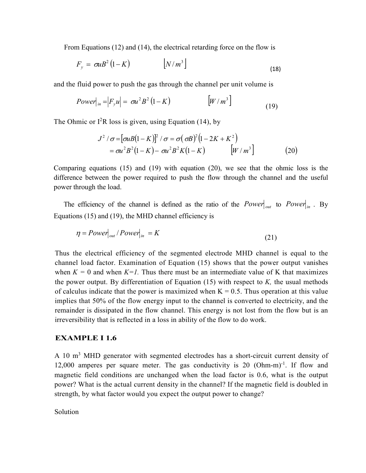From Equations (12) and (14), the electrical retarding force on the flow is

$$
F_{y} = \sigma u B^{2} (1 - K) \qquad \qquad [N/m^{3}]
$$
\n(18)

and the fluid power to push the gas through the channel per unit volume is

$$
Power\big|_{in} = \big|F_{y}u\big| = \sigma u^{2}B^{2}\left(1 - K\right) \qquad \qquad \big[ W/m^{3} \big] \tag{19}
$$

The Ohmic or  $I^2R$  loss is given, using Equation (14), by

$$
J^2 / \sigma = [\sigma u B (1 - K)]^2 / \sigma = \sigma (\sigma B)^2 (1 - 2K + K^2)
$$
  
=  $\sigma u^2 B^2 (1 - K) - \sigma u^2 B^2 K (1 - K)$  [*W* / *m*<sup>3</sup>] (20)

Comparing equations (15) and (19) with equation (20), we see that the ohmic loss is the difference between the power required to push the flow through the channel and the useful power through the load.

The efficiency of the channel is defined as the ratio of the  $Power|_{out}$  to  $Power|_{in}$ . By Equations (15) and (19), the MHD channel efficiency is

$$
\eta = Power_{out} / Power_{in} = K \tag{21}
$$

Thus the electrical efficiency of the segmented electrode MHD channel is equal to the channel load factor. Examination of Equation (15) shows that the power output vanishes when  $K = 0$  and when  $K = 1$ . Thus there must be an intermediate value of K that maximizes the power output. By differentiation of Equation (15) with respect to *K,* the usual methods of calculus indicate that the power is maximized when  $K = 0.5$ . Thus operation at this value implies that 50% of the flow energy input to the channel is converted to electricity, and the remainder is dissipated in the flow channel. This energy is not lost from the flow but is an irreversibility that is reflected in a loss in ability of the flow to do work.

## **EXAMPLE I 1.6**

A 10 m<sup>3</sup> MHD generator with segmented electrodes has a short-circuit current density of 12,000 amperes per square meter. The gas conductivity is 20 (Ohm-m)<sup>-1</sup>. If flow and magnetic field conditions are unchanged when the load factor is 0.6, what is the output power? What is the actual current density in the channel? If the magnetic field is doubled in strength, by what factor would you expect the output power to change?

Solution